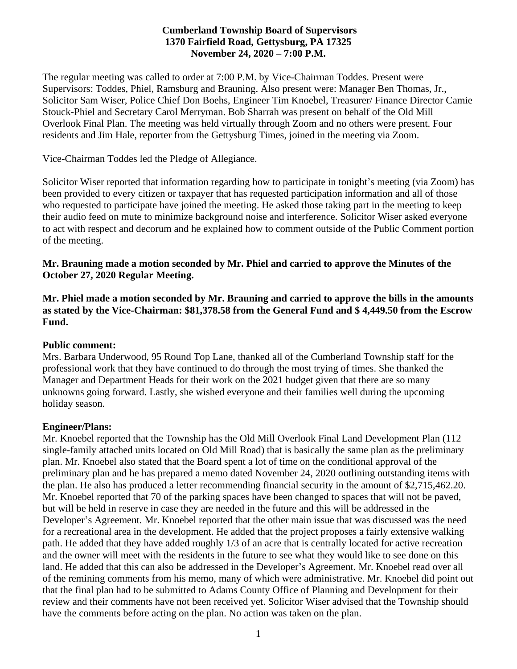# **Cumberland Township Board of Supervisors 1370 Fairfield Road, Gettysburg, PA 17325 November 24, 2020 – 7:00 P.M.**

The regular meeting was called to order at 7:00 P.M. by Vice-Chairman Toddes. Present were Supervisors: Toddes, Phiel, Ramsburg and Brauning. Also present were: Manager Ben Thomas, Jr., Solicitor Sam Wiser, Police Chief Don Boehs, Engineer Tim Knoebel, Treasurer/ Finance Director Camie Stouck-Phiel and Secretary Carol Merryman. Bob Sharrah was present on behalf of the Old Mill Overlook Final Plan. The meeting was held virtually through Zoom and no others were present. Four residents and Jim Hale, reporter from the Gettysburg Times, joined in the meeting via Zoom.

Vice-Chairman Toddes led the Pledge of Allegiance.

Solicitor Wiser reported that information regarding how to participate in tonight's meeting (via Zoom) has been provided to every citizen or taxpayer that has requested participation information and all of those who requested to participate have joined the meeting. He asked those taking part in the meeting to keep their audio feed on mute to minimize background noise and interference. Solicitor Wiser asked everyone to act with respect and decorum and he explained how to comment outside of the Public Comment portion of the meeting.

#### **Mr. Brauning made a motion seconded by Mr. Phiel and carried to approve the Minutes of the October 27, 2020 Regular Meeting.**

**Mr. Phiel made a motion seconded by Mr. Brauning and carried to approve the bills in the amounts as stated by the Vice-Chairman: \$81,378.58 from the General Fund and \$ 4,449.50 from the Escrow Fund.**

## **Public comment:**

Mrs. Barbara Underwood, 95 Round Top Lane, thanked all of the Cumberland Township staff for the professional work that they have continued to do through the most trying of times. She thanked the Manager and Department Heads for their work on the 2021 budget given that there are so many unknowns going forward. Lastly, she wished everyone and their families well during the upcoming holiday season.

## **Engineer/Plans:**

Mr. Knoebel reported that the Township has the Old Mill Overlook Final Land Development Plan (112 single-family attached units located on Old Mill Road) that is basically the same plan as the preliminary plan. Mr. Knoebel also stated that the Board spent a lot of time on the conditional approval of the preliminary plan and he has prepared a memo dated November 24, 2020 outlining outstanding items with the plan. He also has produced a letter recommending financial security in the amount of \$2,715,462.20. Mr. Knoebel reported that 70 of the parking spaces have been changed to spaces that will not be paved, but will be held in reserve in case they are needed in the future and this will be addressed in the Developer's Agreement. Mr. Knoebel reported that the other main issue that was discussed was the need for a recreational area in the development. He added that the project proposes a fairly extensive walking path. He added that they have added roughly 1/3 of an acre that is centrally located for active recreation and the owner will meet with the residents in the future to see what they would like to see done on this land. He added that this can also be addressed in the Developer's Agreement. Mr. Knoebel read over all of the remining comments from his memo, many of which were administrative. Mr. Knoebel did point out that the final plan had to be submitted to Adams County Office of Planning and Development for their review and their comments have not been received yet. Solicitor Wiser advised that the Township should have the comments before acting on the plan. No action was taken on the plan.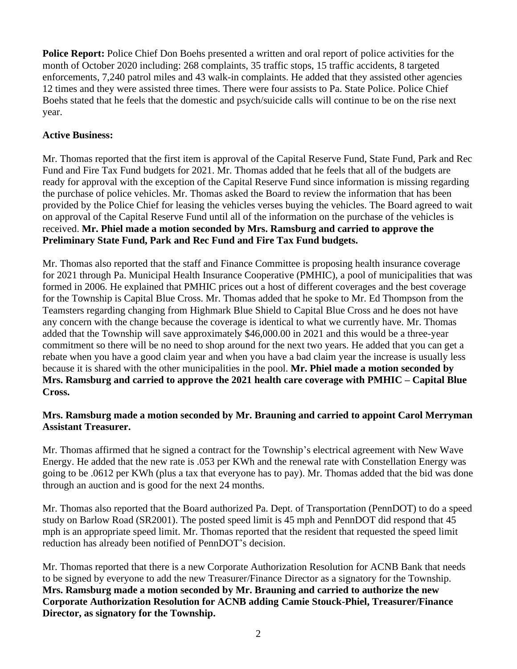**Police Report:** Police Chief Don Boehs presented a written and oral report of police activities for the month of October 2020 including: 268 complaints, 35 traffic stops, 15 traffic accidents, 8 targeted enforcements, 7,240 patrol miles and 43 walk-in complaints. He added that they assisted other agencies 12 times and they were assisted three times. There were four assists to Pa. State Police. Police Chief Boehs stated that he feels that the domestic and psych/suicide calls will continue to be on the rise next year.

# **Active Business:**

Mr. Thomas reported that the first item is approval of the Capital Reserve Fund, State Fund, Park and Rec Fund and Fire Tax Fund budgets for 2021. Mr. Thomas added that he feels that all of the budgets are ready for approval with the exception of the Capital Reserve Fund since information is missing regarding the purchase of police vehicles. Mr. Thomas asked the Board to review the information that has been provided by the Police Chief for leasing the vehicles verses buying the vehicles. The Board agreed to wait on approval of the Capital Reserve Fund until all of the information on the purchase of the vehicles is received. **Mr. Phiel made a motion seconded by Mrs. Ramsburg and carried to approve the Preliminary State Fund, Park and Rec Fund and Fire Tax Fund budgets.**

Mr. Thomas also reported that the staff and Finance Committee is proposing health insurance coverage for 2021 through Pa. Municipal Health Insurance Cooperative (PMHIC), a pool of municipalities that was formed in 2006. He explained that PMHIC prices out a host of different coverages and the best coverage for the Township is Capital Blue Cross. Mr. Thomas added that he spoke to Mr. Ed Thompson from the Teamsters regarding changing from Highmark Blue Shield to Capital Blue Cross and he does not have any concern with the change because the coverage is identical to what we currently have. Mr. Thomas added that the Township will save approximately \$46,000.00 in 2021 and this would be a three-year commitment so there will be no need to shop around for the next two years. He added that you can get a rebate when you have a good claim year and when you have a bad claim year the increase is usually less because it is shared with the other municipalities in the pool. **Mr. Phiel made a motion seconded by Mrs. Ramsburg and carried to approve the 2021 health care coverage with PMHIC – Capital Blue Cross.** 

# **Mrs. Ramsburg made a motion seconded by Mr. Brauning and carried to appoint Carol Merryman Assistant Treasurer.**

Mr. Thomas affirmed that he signed a contract for the Township's electrical agreement with New Wave Energy. He added that the new rate is .053 per KWh and the renewal rate with Constellation Energy was going to be .0612 per KWh (plus a tax that everyone has to pay). Mr. Thomas added that the bid was done through an auction and is good for the next 24 months.

Mr. Thomas also reported that the Board authorized Pa. Dept. of Transportation (PennDOT) to do a speed study on Barlow Road (SR2001). The posted speed limit is 45 mph and PennDOT did respond that 45 mph is an appropriate speed limit. Mr. Thomas reported that the resident that requested the speed limit reduction has already been notified of PennDOT's decision.

Mr. Thomas reported that there is a new Corporate Authorization Resolution for ACNB Bank that needs to be signed by everyone to add the new Treasurer/Finance Director as a signatory for the Township. **Mrs. Ramsburg made a motion seconded by Mr. Brauning and carried to authorize the new Corporate Authorization Resolution for ACNB adding Camie Stouck-Phiel, Treasurer/Finance Director, as signatory for the Township.**